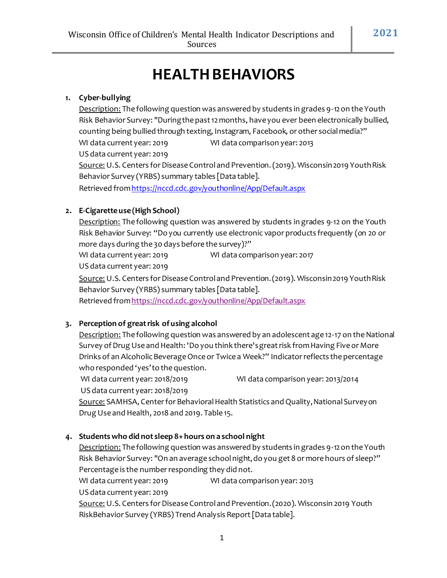# **HEALTH BEHAVIORS**

# **1. Cyber-bullying**

Description: The following question was answered by students in grades 9-12 on the Youth Risk Behavior Survey: "During the past 12 months, have you ever been electronically bullied, counting being bullied through texting, Instagram, Facebook, or other socialmedia?"

WI data current year: 2019 WI data comparison year: 2013 US data current year: 2019

Source: U.S. Centers for Disease Control and Prevention. (2019). Wisconsin 2019 Youth Risk Behavior Survey (YRBS) summary tables [Data table].

Retrieved fro[mhttps://nccd.cdc.gov/youthonline/App/Default.aspx](https://nccd.cdc.gov/youthonline/App/Default.aspx)

# **2. E-Cigarette use (High School)**

Description: The following question was answered by students in grades 9-12 on the Youth Risk Behavior Survey: "Do you currently use electronic vapor products frequently (on 20 or more days during the 30 days before the survey)?"

WI data current year: 2019 WI data comparison year: 2017 US data current year: 2019

Source: U.S. Centers for Disease Control and Prevention. (2019). Wisconsin 2019 Youth Risk Behavior Survey (YRBS) summary tables [Data table].

Retrieved fro[mhttps://nccd.cdc.gov/youthonline/App/Default.aspx](https://nccd.cdc.gov/youthonline/App/Default.aspx)

# **3. Perception of greatrisk of using alcohol**

Description: The following question was answered by an adolescent age 12-17 on the National Survey of Drug Use and Health: 'Do you think there's great risk from Having Five or More Drinks of an Alcoholic Beverage Once or Twice a Week?" Indicator reflects the percentage who responded 'yes'to the question.

WI data current year: 2018/2019 WI data comparison year: 2013/2014

US data current year: 2018/2019

Source: SAMHSA, Center for Behavioral Health Statistics and Quality, National Survey on Drug Use and Health, 2018 and 2019. Table 15.

# **4. Students who did not sleep 8+ hours on a school night**

Description: The following question was answered by students in grades 9-12 on the Youth Risk Behavior Survey: "On an average school night, do you get 8 or more hours of sleep?" Percentage is the number responding they did not.

WI data current year: 2019 WI data comparison year: 2013

US data current year: 2019

Source: U.S. Centers for Disease Control and Prevention. (2020). Wisconsin 2019 Youth RiskBehavior Survey (YRBS) Trend Analysis Report[Data table].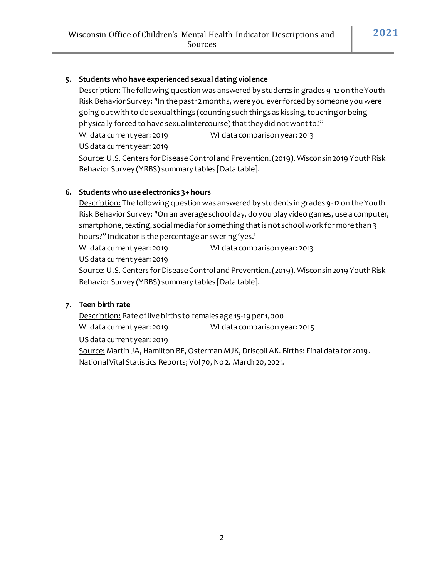#### **5. Students who have experienced sexual dating violence**

Description: The following question was answered by students in grades 9-12 on the Youth Risk Behavior Survey: "In the past 12 months, were you ever forced by someone you were going out with to do sexual things (counting such things as kissing, touching or being physically forced to have sexual intercourse) that they did not want to?" WI data current year: 2019 WI data comparison year: 2013 US data current year: 2019 Source: U.S. Centers for Disease Control and Prevention. (2019). Wisconsin 2019 Youth Risk Behavior Survey (YRBS) summary tables [Data table].

#### **6. Students who use electronics 3+ hours**

Description: The following question was answered by students in grades 9-12 on the Youth Risk Behavior Survey: "On an average school day, do you play video games, use a computer, smartphone, texting, social media for something that is not school work for more than 3 hours?" Indicator is the percentage answering 'yes.'

WI data current year: 2019 WI data comparison year: 2013

US data current year: 2019

Source: U.S. Centers for Disease Control and Prevention. (2019). Wisconsin 2019 Youth Risk Behavior Survey (YRBS) summary tables [Data table].

#### **7. Teen birth rate**

Description: Rate of live births to females age 15-19 per 1,000 WI data current year: 2019 WI data comparison year: 2015

US data current year: 2019

Source: Martin JA, Hamilton BE, Osterman MJK, Driscoll AK. Births: Final data for 2019. National Vital Statistics Reports; Vol 70, No 2. March 20, 2021.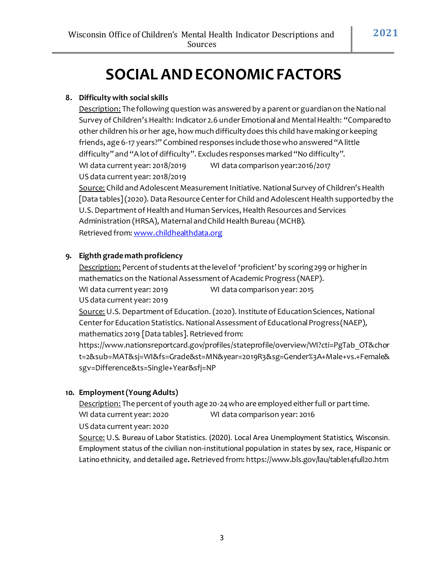# **SOCIAL AND ECONOMICFACTORS**

# **8. Difficulty with social skills**

Description: The following question was answered by a parent or guardian on the National Survey of Children's Health: Indicator 2.6 under Emotional and Mental Health: "Compared to other children his or her age, how much difficultydoes this child have makingor keeping friends, age 6-17 years?" Combined responses include those who answered "A little difficulty" and "A lot of difficulty". Excludes responses marked "No difficulty". WI data current year: 2018/2019 WI data comparison year:2016/2017 US data current year: 2018/2019

Source: Child and Adolescent Measurement Initiative. National Survey of Children's Health [Data tables](2020). Data Resource Center for Child and Adolescent Health supported by the U.S. Department of Health and Human Services, Health Resources and Services Administration (HRSA), Maternal andChild Health Bureau (MCHB). Retrieved from: [www.childhealthdata.org](http://www.childhealthdata.org/)

# **9. Eighth grade math proficiency**

Description: Percent of students at the level of 'proficient' by scoring 299 or higher in mathematics on the National Assessment of Academic Progress (NAEP). WI data current year: 2019 WI data comparison year: 2015 US data current year: 2019

Source: U.S. Department of Education. (2020). Institute of Education Sciences, National Center for Education Statistics. National Assessment of Educational Progress (NAEP), mathematics 2019 [Data tables]. Retrieved from:

https://www.nationsreportcard.gov/profiles/stateprofile/overview/WI?cti=PgTab\_OT&chor t=2&sub=MAT&sj=WI&fs=Grade&st=MN&year=2019R3&sg=Gender%3A+Male+vs.+Female& sgv=Difference&ts=Single+Year&sfj=NP

# **10. Employment(Young Adults)**

Description: The percent of youth age 20-24 who are employed either full or part time. WI data current year: 2020 WI data comparison year: 2016

US data current year: 2020

Source: U.S. Bureau of Labor Statistics. (2020). Local Area Unemployment Statistics, Wisconsin. Employment status of the civilian non-institutional population in states by sex, race, Hispanic or Latinoethnicity, anddetailed age**.** Retrieved from: https://www.bls.gov/lau/table14full20.htm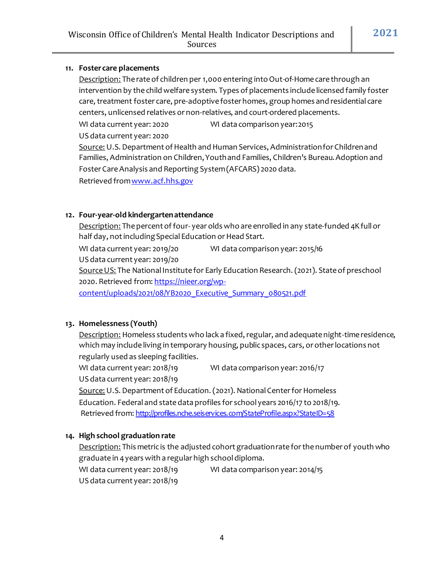#### **11. Foster care placements**

Description: The rate of children per 1,000 entering into Out-of-Home care through an intervention by the child welfare system. Types of placements include licensed family foster care, treatment foster care, pre-adoptive foster homes, group homes and residential care centers, unlicensed relatives or non-relatives, and court-ordered placements.

WI data current year: 2020 WI data comparison year:2015

US data current year: 2020

Source: U.S. Department of Health and Human Services, Administration for Children and

Families, Administration on Children,Youthand Families, Children's Bureau.Adoption and Foster CareAnalysis and Reporting System(AFCARS) 2020 data.

Retrieved from www.acf.hhs.gov

#### **12. Four-year-old kindergartenattendance**

Description: The percent of four- year olds who are enrolled in any state-funded 4K full or half day, not including Special Education or Head Start.

WI data current year: 2019/20 WI data comparison year: 2015/16 US data current year: 2019/20 Source US: The National Institute for Early Education Research. (2021). State of preschool 2020. Retrieved from[: https://nieer.org/wp-](https://nieer.org/wp-content/uploads/2021/08/YB2020_Executive_Summary_080521.pdf)

[content/uploads/2021/08/YB2020\\_Executive\\_Summary\\_080521.pdf](https://nieer.org/wp-content/uploads/2021/08/YB2020_Executive_Summary_080521.pdf)

# **13. Homelessness (Youth)**

Description: Homeless students who lack a fixed, regular, and adequate night-time residence, which may include living in temporary housing, public spaces, cars, or other locations not regularly used as sleeping facilities.

WI data current year: 2018/19 WI data comparison year: 2016/17

US data current year: 2018/19

Source: U.S. Department of Education. (2021). National Center for Homeless Education. Federal and state data profiles for school years 2016/17 to 2018/19. Retrieved from: <http://profiles.nche.seiservices.com/StateProfile.aspx?StateID=58>

# **14. High school graduation rate**

Description: This metric is the adjusted cohort graduation rate for the number of youth who graduate in 4years with a regular high schooldiploma.

WI data current year: 2018/19 WI data comparison year: 2014/15 US data current year: 2018/19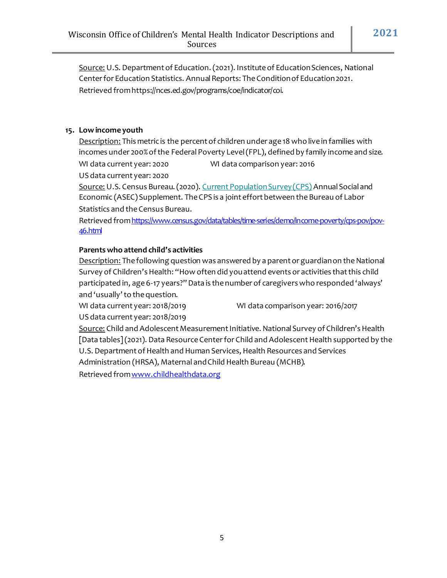Source: U.S. Department of Education. (2021). Institute of Education Sciences, National Center for Education Statistics. Annual Reports: The Condition of Education 2021. Retrieved fromhttps://nces.ed.gov/programs/coe/indicator/coi.

#### **15. Lowincome youth**

Description: This metric is the percent of children under age 18 who live in families with incomes under 200% of the Federal Poverty Level (FPL), defined by family income and size. WI data current year: 2020 WI data comparison year: 2016

US data current year: 2020

Source: U.S. Census Bureau. (2020)[. Current Population Survey \(CPS\)](https://www.census.gov/programs-surveys/cps.html) Annual Social and Economic (ASEC) Supplement. The CPS is a joint effort between the Bureau of Labor Statistics and theCensus Bureau.

Retrieved from https://www.census.gov/data/tables/time-series/demo/income-poverty/cps-pov/pov-[46.html](https://www.census.gov/data/tables/time-series/demo/income-poverty/cps-pov/pov-46.html)

#### **Parents who attend child's activities**

Description: The following question was answered by a parent or guardian on the National Survey of Children's Health: "How often did you attend events or activities that this child participated in, age 6-17 years?" Data is the number of caregivers who responded 'always' and 'usually' to the question.

WI data current year: 2018/2019 WI data comparison year: 2016/2017

US data current year: 2018/2019

Source: Child and Adolescent Measurement Initiative. National Survey of Children's Health [Data tables](2021). Data Resource Center for Child and Adolescent Health supported by the U.S. Department of Health and Human Services, Health Resources and Services Administration (HRSA), Maternal andChild Health Bureau (MCHB).

Retrieved from www.childhealthdata.org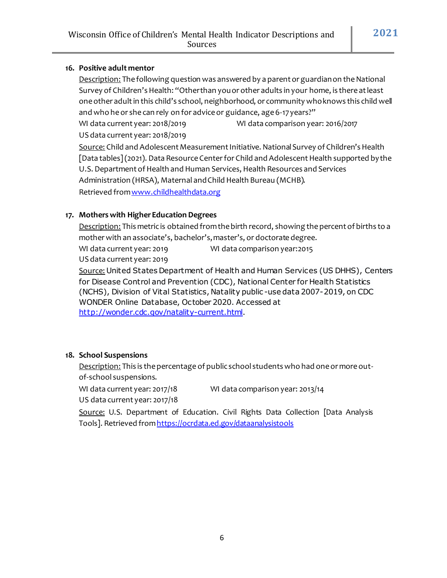#### **16. Positive adult mentor**

Description: The following question was answered by a parent or guardian on the National Survey of Children's Health: "Other than you or other adults in your home, is there at least one other adult in this child's school, neighborhood, or community who knows this child well and who he or she can rely on for advice or guidance, age 6-17 years?"

WI data current year: 2018/2019 WI data comparison year: 2016/2017 US data current year: 2018/2019

Source: Child and Adolescent Measurement Initiative. National Survey of Children's Health [Data tables](2021). Data Resource Center for Child and Adolescent Health supported by the U.S. Department of Health and Human Services, Health Resources and Services Administration (HRSA), Maternal andChild Health Bureau (MCHB). Retrieved from www.childhealthdata.org

#### **17. Mothers with HigherEducation Degrees**

Description: This metric is obtained from the birth record, showing the percent of births to a mother with an associate's, bachelor's, master's, or doctorate degree.

WI data current year: 2019 WI data comparison year:2015 US data current year: 2019

Source: United States Department of Health and Human Services (US DHHS), Centers for Disease Control and Prevention (CDC), National Center for Health Statistics (NCHS), Division of Vital Statistics, Natality public -use data 2007-2019, on CDC WONDER Online Database, October 2020. Accessed at [http://wonder.cdc.gov/natality-current.html.](http://wonder.cdc.gov/natality-current.html)

#### **18. School Suspensions**

Description: This is the percentage of public school students who had one or more outof-school suspensions.

WI data current year: 2017/18 WI data comparison year: 2013/14

US data current year: 2017/18

Source: U.S. Department of Education. Civil Rights Data Collection [Data Analysis Tools]. Retrieved fro[mhttps://ocrdata.ed.gov/dataanalysistools](https://ocrdata.ed.gov/dataanalysistools)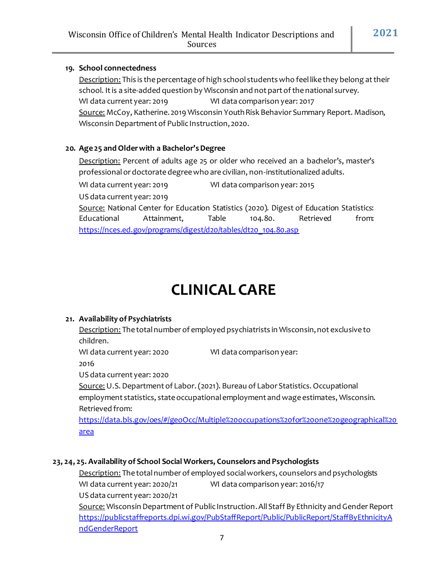#### **19. School connectedness**

Description: This is the percentage of high school students who feel like they belong at their school. It is a site-added question by Wisconsin and not part of the national survey. WI data current year: 2019 WI data comparison year: 2017 Source: McCoy, Katherine. 2019 Wisconsin Youth Risk Behavior Summary Report. Madison, Wisconsin Department of Public Instruction, 2020.

#### **20. Age 25 and Older with a Bachelor's Degree**

Description: Percent of adults age 25 or older who received an a bachelor's, master's professional or doctorate degree who are civilian, non-institutionalized adults.

WI data current year: 2019 WI data comparison year: 2015

US data current year: 2019

Source: National Center for Education Statistics (2020). Digest of Education Statistics: Educational Attainment, Table 104.80. Retrieved from: [https://nces.ed.gov/programs/digest/d20/tables/dt20\\_104.80.asp](https://nces.ed.gov/programs/digest/d20/tables/dt20_104.80.asp)

# **CLINICAL CARE**

# **21. Availability of Psychiatrists**

Description: The total number of employed psychiatrists in Wisconsin, not exclusive to children.

WI data current year: 2020 WI data comparison year:

2016

US data current year: 2020

Source: U.S. Department of Labor. (2021). Bureau of Labor Statistics. Occupational employment statistics, state occupational employment and wage estimates, Wisconsin. Retrieved from:

[https://data.bls.gov/oes/#/geoOcc/Multiple%20occupations%20for%20one%20geographical%20](https://data.bls.gov/oes/#/geoOcc/Multiple%20occupations%20for%20one%20geographical%20area) [area](https://data.bls.gov/oes/#/geoOcc/Multiple%20occupations%20for%20one%20geographical%20area)

# **23, 24, 25. Availability of School Social Workers, Counselors and Psychologists**

Description: The total number of employed social workers, counselors and psychologists WI data current year: 2020/21 WI data comparison year: 2016/17

US data current year: 2020/21

Source: Wisconsin Department of Public Instruction.All Staff By Ethnicity and Gender Report [https://publicstaffreports.dpi.wi.gov/PubStaffReport/Public/PublicReport/StaffByEthnicityA](https://publicstaffreports.dpi.wi.gov/PubStaffReport/Public/PublicReport/StaffByEthnicityAndGenderReport) [ndGenderReport](https://publicstaffreports.dpi.wi.gov/PubStaffReport/Public/PublicReport/StaffByEthnicityAndGenderReport)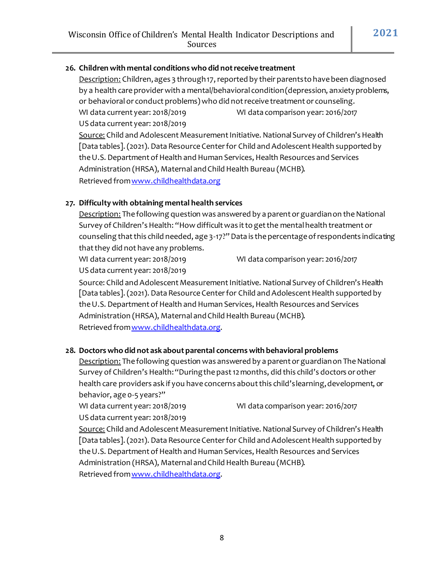# **26. Children with mental conditions who did notreceive treatment**

Description: Children, ages 3 through 17, reported by their parents to have been diagnosed by a health care provider with a mental/behavioral condition (depression, anxiety problems, or behavioral or conduct problems) who did notreceive treatment or counseling. WI data current year: 2018/2019 WI data comparison year: 2016/2017 US data current year: 2018/2019 Source: Child and Adolescent Measurement Initiative. National Survey of Children's Health [Data tables]. (2021). Data Resource Center for Child and Adolescent Health supported by the U.S. Department of Health and Human Services, Health Resources and Services

Administration (HRSA), Maternal andChild Health Bureau (MCHB).

Retrieved from www.childhealthdata.org

#### **27. Difficulty with obtaining mental health services**

Description: The following question was answered by a parent or guardian on the National Survey of Children's Health: "How difficult was it to get the mental health treatment or counseling that this child needed, age 3-17?" Data is the percentage of respondents indicating that they did not have any problems.

WI data current year: 2018/2019 WI data comparison year: 2016/2017

US data current year: 2018/2019

Source: Child and Adolescent Measurement Initiative. National Survey of Children's Health [Data tables]. (2021). Data Resource Center for Child and Adolescent Health supported by the U.S. Department of Health and Human Services, Health Resources and Services Administration (HRSA), Maternal andChild Health Bureau (MCHB). Retrieved fro[mwww.childhealthdata.org](http://www.childhealthdata.org/).

# **28. Doctors who did not ask about parental concerns with behavioral problems**

Description: The following question was answered by a parent or guardian on The National Survey of Children's Health:"Duringthepast12months, did this child's doctors or other health care providers ask if you have concerns about this child's learning, development, or behavior, age 0-5 years?"

WI data current year: 2018/2019 WI data comparison year: 2016/2017

US data current year: 2018/2019

Source: Child and Adolescent Measurement Initiative. National Survey of Children's Health [Data tables]. (2021). Data Resource Center for Child and Adolescent Health supported by the U.S. Department of Health and Human Services, Health Resources and Services Administration (HRSA), Maternal andChild Health Bureau (MCHB). Retrieved fro[mwww.childhealthdata.org](http://www.childhealthdata.org/).

8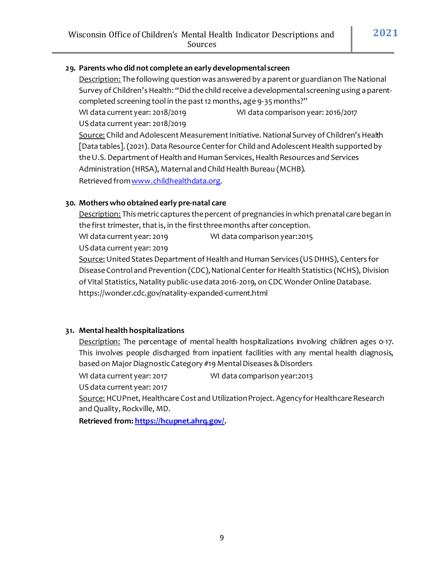#### **29. Parents who did not complete an early developmental screen**

Description: The following question was answered by a parent or guardian on The National Survey of Children's Health: "Did the child receive a developmental screening using a parentcompleted screening tool in the past 12 months, age 9-35 months?"

WI data current year: 2018/2019 WI data comparison year: 2016/2017 US data current year: 2018/2019 Source: Child and Adolescent Measurement Initiative. National Survey of Children's Health

[Data tables]. (2021). Data Resource Center for Child and Adolescent Health supported by the U.S. Department of Health and Human Services, Health Resources and Services Administration (HRSA), Maternal andChild Health Bureau (MCHB). Retrieved from www.childhealthdata.org.

#### **30. Mothers who obtained early pre-natal care**

Description: This metric captures the percent of pregnancies in which prenatal care began in the first trimester, that is, in the first three months after conception.

WI data current year: 2019 WI data comparison year:2015

US data current year: 2019

Source: United States Department of Health and Human Services (US DHHS), Centers for Disease Control and Prevention (CDC), National Center for Health Statistics (NCHS), Division of Vital Statistics, Natality public-use data 2016-2019, on CDC Wonder Online Database. https://wonder.cdc.gov/natality-expanded-current.html

#### **31. Mental health hospitalizations**

Description: The percentage of mental health hospitalizations involving children ages 0-17. This involves people discharged from inpatient facilities with any mental health diagnosis, based on Major Diagnostic Category #19 Mental Diseases &Disorders

WI data current year: 2017 WI data comparison year: 2013

US data current year: 2017

Source: HCUPnet, Healthcare Cost and Utilization Project. Agency for Healthcare Research and Quality, Rockville, MD.

**Retrieved from: [https://hcupnet.ahrq.gov/.](https://hcupnet.ahrq.gov/)**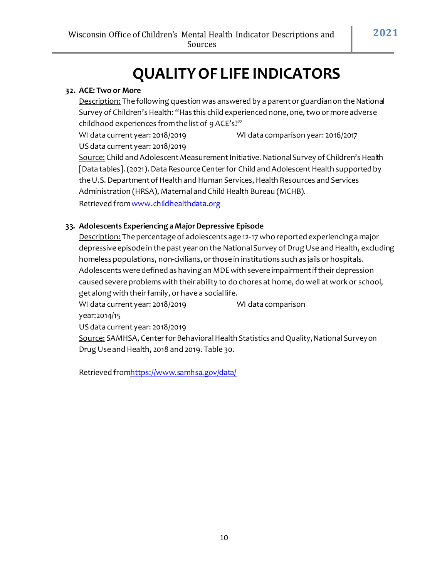# **QUALITYOF LIFE INDICATORS**

#### **32. ACE: Two or More**

Description: The following question was answered by a parent or guardian on the National Survey of Children's Health: "Has this child experienced none, one, two or more adverse childhood experiences fromthe list of 9 ACE's?"

WI data current year: 2018/2019 WI data comparison year: 2016/2017 US data current year: 2018/2019

Source: Child and Adolescent Measurement Initiative. National Survey of Children's Health [Data tables]. (2021). Data Resource Center for Child and Adolescent Health supported by the U.S. Department of Health and Human Services, Health Resources and Services Administration (HRSA), Maternal andChild Health Bureau (MCHB).

Retrieved from www.childhealthdata.org

#### **33. Adolescents Experiencing a MajorDepressive Episode**

Description: The percentage of adolescents age 12-17 who reported experiencing a major depressive episode in the past year on the National Survey of Drug Use and Health, excluding homeless populations, non-civilians, or those in institutions such as jails or hospitals. Adolescents were defined as having an MDE with severe impairment if their depression caused severe problems with their ability to do chores at home, do well at work or school, get along with their family, or have a social life.

WI data current year: 2018/2019 WI data comparison year:2014/15 US data current year: 2018/2019 Source: SAMHSA, Center for Behavioral Health Statistics and Quality, National Survey on

Drug Use and Health, 2018 and 2019. Table 30.

Retrieved fro[mhttps://www.samhsa.gov/data/](https://www.samhsa.gov/data/)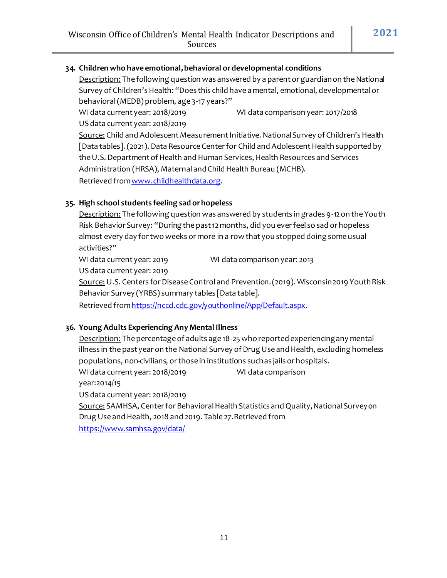#### **34. Children who have emotional,behavioral ordevelopmental conditions**

Description: The following question was answered by a parent or guardian on the National Survey of Children's Health: "Does this child have a mental, emotional, developmental or behavioral(MEDB) problem, age 3-17 years?"

WI data current year: 2018/2019 WI data comparison year: 2017/2018 US data current year: 2018/2019

Source: Child and Adolescent Measurement Initiative. National Survey of Children's Health [Data tables]. (2021). Data Resource Center for Child and Adolescent Health supported by the U.S. Department of Health and Human Services, Health Resources and Services Administration (HRSA), Maternal andChild Health Bureau (MCHB). Retrieved from www.childhealthdata.org.

# **35. High school students feeling sad orhopeless**

Description: The following question was answered by students in grades 9-12 on the Youth Risk Behavior Survey: "During the past 12 months, did you ever feel so sad or hopeless almost every day for two weeks or more in a row that you stopped doing some usual activities?"

WI data current year: 2019 WI data comparison year: 2013

US data current year: 2019

Source: U.S. Centers for Disease Control and Prevention. (2019). Wisconsin 2019 Youth Risk Behavior Survey (YRBS) summary tables [Data table].

Retrieved from https://nccd.cdc.gov/youthonline/App/Default.aspx.

#### **36. Young Adults Experiencing Any Mental Illness**

Description: The percentage of adults age 18-25 who reported experiencing any mental illness in the past year on the National Survey of Drug Use and Health, excluding homeless populations, non-civilians, or those in institutions such as jails or hospitals. WI data current year: 2018/2019 WI data comparison year:2014/15 US data current year: 2018/2019 Source: SAMHSA, Center for Behavioral Health Statistics and Quality, National Survey on

Drug Use and Health, 2018 and 2019. Table 27.Retrieved from

<https://www.samhsa.gov/data/>